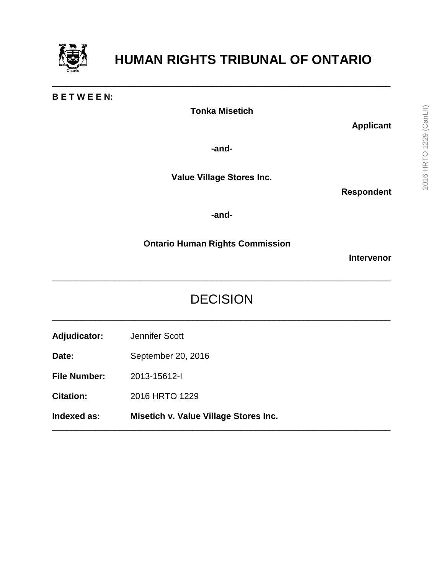

# **HUMAN RIGHTS TRIBUNAL OF ONTARIO**

#### **B E T W E E N:**

**Tonka Misetich**

\_\_\_\_\_\_\_\_\_\_\_\_\_\_\_\_\_\_\_\_\_\_\_\_\_\_\_\_\_\_\_\_\_\_\_\_\_\_\_\_\_\_\_\_\_\_\_\_\_\_\_\_\_\_\_\_\_\_\_\_\_\_\_\_\_\_\_\_\_\_

**Applicant**

**-and-**

**Value Village Stores Inc.**

**Respondent**

**-and-**

**Ontario Human Rights Commission**

**Intervenor**

## DECISION

\_\_\_\_\_\_\_\_\_\_\_\_\_\_\_\_\_\_\_\_\_\_\_\_\_\_\_\_\_\_\_\_\_\_\_\_\_\_\_\_\_\_\_\_\_\_\_\_\_\_\_\_\_\_\_\_\_\_\_\_\_\_\_\_\_\_\_\_\_\_

\_\_\_\_\_\_\_\_\_\_\_\_\_\_\_\_\_\_\_\_\_\_\_\_\_\_\_\_\_\_\_\_\_\_\_\_\_\_\_\_\_\_\_\_\_\_\_\_\_\_\_\_\_\_\_\_\_\_\_\_\_\_\_\_\_\_\_\_\_\_

\_\_\_\_\_\_\_\_\_\_\_\_\_\_\_\_\_\_\_\_\_\_\_\_\_\_\_\_\_\_\_\_\_\_\_\_\_\_\_\_\_\_\_\_\_\_\_\_\_\_\_\_\_\_\_\_\_\_\_\_\_\_\_\_\_\_\_\_\_\_

**Adjudicator:** Jennifer Scott

Date: September 20, 2016

**File Number:** 2013-15612-I

**Citation:** 2016 HRTO 1229

**Indexed as: Misetich v. Value Village Stores Inc.**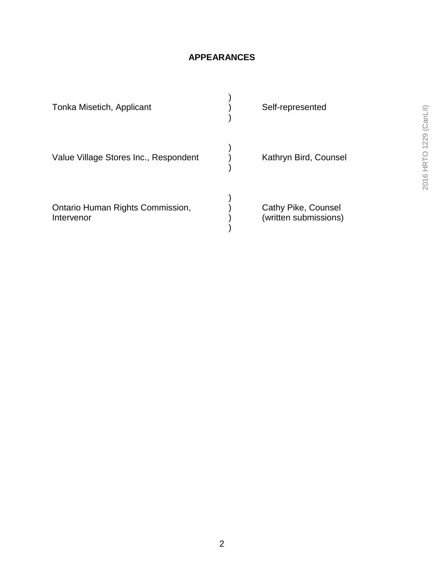## **APPEARANCES**

| Tonka Misetich, Applicant                      | Self-represented                             |
|------------------------------------------------|----------------------------------------------|
| Value Village Stores Inc., Respondent          | Kathryn Bird, Counsel                        |
| Ontario Human Rights Commission,<br>Intervenor | Cathy Pike, Counsel<br>(written submissions) |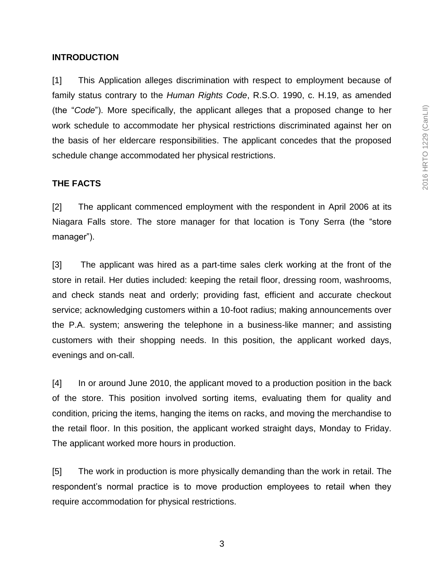#### **INTRODUCTION**

[1] This Application alleges discrimination with respect to employment because of family status contrary to the *Human Rights Code*, R.S.O. 1990, c. H.19, as amended (the "*Code*"). More specifically, the applicant alleges that a proposed change to her work schedule to accommodate her physical restrictions discriminated against her on the basis of her eldercare responsibilities. The applicant concedes that the proposed schedule change accommodated her physical restrictions.

#### **THE FACTS**

[2] The applicant commenced employment with the respondent in April 2006 at its Niagara Falls store. The store manager for that location is Tony Serra (the "store manager").

[3] The applicant was hired as a part-time sales clerk working at the front of the store in retail. Her duties included: keeping the retail floor, dressing room, washrooms, and check stands neat and orderly; providing fast, efficient and accurate checkout service; acknowledging customers within a 10-foot radius; making announcements over the P.A. system; answering the telephone in a business-like manner; and assisting customers with their shopping needs. In this position, the applicant worked days, evenings and on-call.

[4] In or around June 2010, the applicant moved to a production position in the back of the store. This position involved sorting items, evaluating them for quality and condition, pricing the items, hanging the items on racks, and moving the merchandise to the retail floor. In this position, the applicant worked straight days, Monday to Friday. The applicant worked more hours in production.

[5] The work in production is more physically demanding than the work in retail. The respondent's normal practice is to move production employees to retail when they require accommodation for physical restrictions.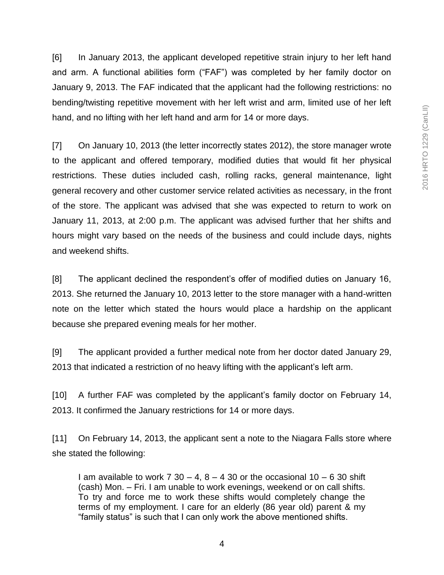[6] In January 2013, the applicant developed repetitive strain injury to her left hand and arm. A functional abilities form ("FAF") was completed by her family doctor on January 9, 2013. The FAF indicated that the applicant had the following restrictions: no bending/twisting repetitive movement with her left wrist and arm, limited use of her left hand, and no lifting with her left hand and arm for 14 or more days.

[7] On January 10, 2013 (the letter incorrectly states 2012), the store manager wrote to the applicant and offered temporary, modified duties that would fit her physical restrictions. These duties included cash, rolling racks, general maintenance, light general recovery and other customer service related activities as necessary, in the front of the store. The applicant was advised that she was expected to return to work on January 11, 2013, at 2:00 p.m. The applicant was advised further that her shifts and hours might vary based on the needs of the business and could include days, nights and weekend shifts.

[8] The applicant declined the respondent's offer of modified duties on January 16, 2013. She returned the January 10, 2013 letter to the store manager with a hand-written note on the letter which stated the hours would place a hardship on the applicant because she prepared evening meals for her mother.

[9] The applicant provided a further medical note from her doctor dated January 29, 2013 that indicated a restriction of no heavy lifting with the applicant's left arm.

[10] A further FAF was completed by the applicant's family doctor on February 14, 2013. It confirmed the January restrictions for 14 or more days.

[11] On February 14, 2013, the applicant sent a note to the Niagara Falls store where she stated the following:

I am available to work  $7 \times 30 - 4$ ,  $8 - 4 \times 30$  or the occasional  $10 - 6 \times 30$  shift (cash) Mon. – Fri. I am unable to work evenings, weekend or on call shifts. To try and force me to work these shifts would completely change the terms of my employment. I care for an elderly (86 year old) parent & my "family status" is such that I can only work the above mentioned shifts.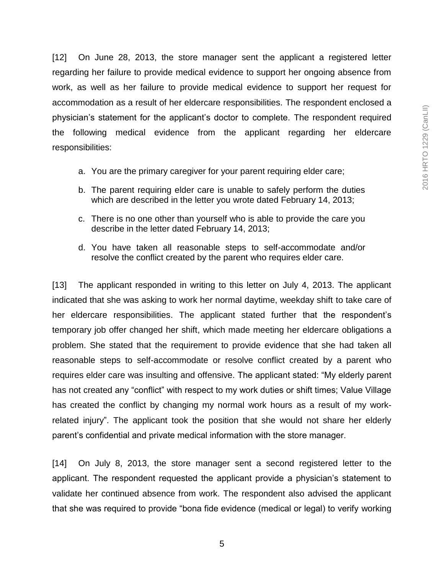[12] On June 28, 2013, the store manager sent the applicant a registered letter regarding her failure to provide medical evidence to support her ongoing absence from work, as well as her failure to provide medical evidence to support her request for accommodation as a result of her eldercare responsibilities. The respondent enclosed a physician's statement for the applicant's doctor to complete. The respondent required the following medical evidence from the applicant regarding her eldercare responsibilities:

- a. You are the primary caregiver for your parent requiring elder care;
- b. The parent requiring elder care is unable to safely perform the duties which are described in the letter you wrote dated February 14, 2013;
- c. There is no one other than yourself who is able to provide the care you describe in the letter dated February 14, 2013;
- d. You have taken all reasonable steps to self-accommodate and/or resolve the conflict created by the parent who requires elder care.

[13] The applicant responded in writing to this letter on July 4, 2013. The applicant indicated that she was asking to work her normal daytime, weekday shift to take care of her eldercare responsibilities. The applicant stated further that the respondent's temporary job offer changed her shift, which made meeting her eldercare obligations a problem. She stated that the requirement to provide evidence that she had taken all reasonable steps to self-accommodate or resolve conflict created by a parent who requires elder care was insulting and offensive. The applicant stated: "My elderly parent has not created any "conflict" with respect to my work duties or shift times; Value Village has created the conflict by changing my normal work hours as a result of my workrelated injury". The applicant took the position that she would not share her elderly parent's confidential and private medical information with the store manager.

[14] On July 8, 2013, the store manager sent a second registered letter to the applicant. The respondent requested the applicant provide a physician's statement to validate her continued absence from work. The respondent also advised the applicant that she was required to provide "bona fide evidence (medical or legal) to verify working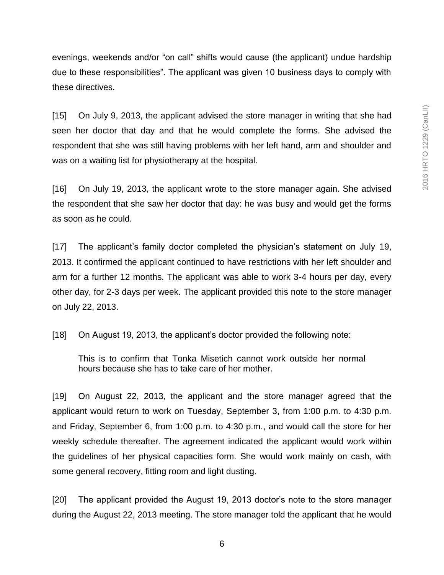evenings, weekends and/or "on call" shifts would cause (the applicant) undue hardship due to these responsibilities". The applicant was given 10 business days to comply with these directives.

[15] On July 9, 2013, the applicant advised the store manager in writing that she had seen her doctor that day and that he would complete the forms. She advised the respondent that she was still having problems with her left hand, arm and shoulder and was on a waiting list for physiotherapy at the hospital.

[16] On July 19, 2013, the applicant wrote to the store manager again. She advised the respondent that she saw her doctor that day: he was busy and would get the forms as soon as he could.

[17] The applicant's family doctor completed the physician's statement on July 19, 2013. It confirmed the applicant continued to have restrictions with her left shoulder and arm for a further 12 months. The applicant was able to work 3-4 hours per day, every other day, for 2-3 days per week. The applicant provided this note to the store manager on July 22, 2013.

[18] On August 19, 2013, the applicant's doctor provided the following note:

This is to confirm that Tonka Misetich cannot work outside her normal hours because she has to take care of her mother.

[19] On August 22, 2013, the applicant and the store manager agreed that the applicant would return to work on Tuesday, September 3, from 1:00 p.m. to 4:30 p.m. and Friday, September 6, from 1:00 p.m. to 4:30 p.m., and would call the store for her weekly schedule thereafter. The agreement indicated the applicant would work within the guidelines of her physical capacities form. She would work mainly on cash, with some general recovery, fitting room and light dusting.

[20] The applicant provided the August 19, 2013 doctor's note to the store manager during the August 22, 2013 meeting. The store manager told the applicant that he would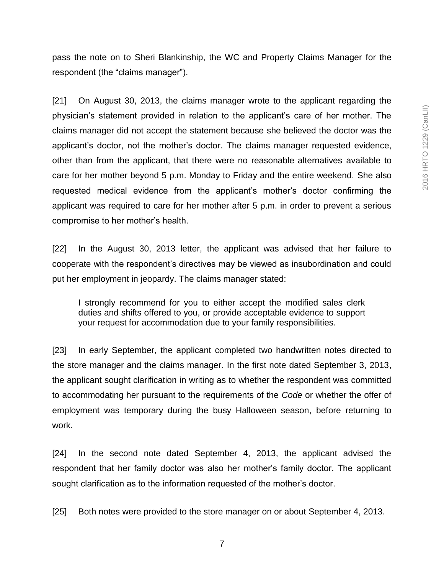pass the note on to Sheri Blankinship, the WC and Property Claims Manager for the respondent (the "claims manager").

[21] On August 30, 2013, the claims manager wrote to the applicant regarding the physician's statement provided in relation to the applicant's care of her mother. The claims manager did not accept the statement because she believed the doctor was the applicant's doctor, not the mother's doctor. The claims manager requested evidence, other than from the applicant, that there were no reasonable alternatives available to care for her mother beyond 5 p.m. Monday to Friday and the entire weekend. She also requested medical evidence from the applicant's mother's doctor confirming the applicant was required to care for her mother after 5 p.m. in order to prevent a serious compromise to her mother's health.

[22] In the August 30, 2013 letter, the applicant was advised that her failure to cooperate with the respondent's directives may be viewed as insubordination and could put her employment in jeopardy. The claims manager stated:

I strongly recommend for you to either accept the modified sales clerk duties and shifts offered to you, or provide acceptable evidence to support your request for accommodation due to your family responsibilities.

[23] In early September, the applicant completed two handwritten notes directed to the store manager and the claims manager. In the first note dated September 3, 2013, the applicant sought clarification in writing as to whether the respondent was committed to accommodating her pursuant to the requirements of the *Code* or whether the offer of employment was temporary during the busy Halloween season, before returning to work.

[24] In the second note dated September 4, 2013, the applicant advised the respondent that her family doctor was also her mother's family doctor. The applicant sought clarification as to the information requested of the mother's doctor.

[25] Both notes were provided to the store manager on or about September 4, 2013.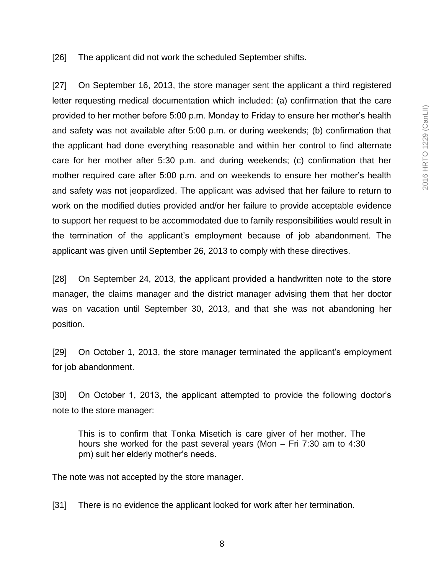[26] The applicant did not work the scheduled September shifts.

[27] On September 16, 2013, the store manager sent the applicant a third registered letter requesting medical documentation which included: (a) confirmation that the care provided to her mother before 5:00 p.m. Monday to Friday to ensure her mother's health and safety was not available after 5:00 p.m. or during weekends; (b) confirmation that the applicant had done everything reasonable and within her control to find alternate care for her mother after 5:30 p.m. and during weekends; (c) confirmation that her mother required care after 5:00 p.m. and on weekends to ensure her mother's health and safety was not jeopardized. The applicant was advised that her failure to return to work on the modified duties provided and/or her failure to provide acceptable evidence to support her request to be accommodated due to family responsibilities would result in the termination of the applicant's employment because of job abandonment. The applicant was given until September 26, 2013 to comply with these directives.

[28] On September 24, 2013, the applicant provided a handwritten note to the store manager, the claims manager and the district manager advising them that her doctor was on vacation until September 30, 2013, and that she was not abandoning her position.

[29] On October 1, 2013, the store manager terminated the applicant's employment for job abandonment.

[30] On October 1, 2013, the applicant attempted to provide the following doctor's note to the store manager:

This is to confirm that Tonka Misetich is care giver of her mother. The hours she worked for the past several years (Mon – Fri 7:30 am to 4:30 pm) suit her elderly mother's needs.

The note was not accepted by the store manager.

[31] There is no evidence the applicant looked for work after her termination.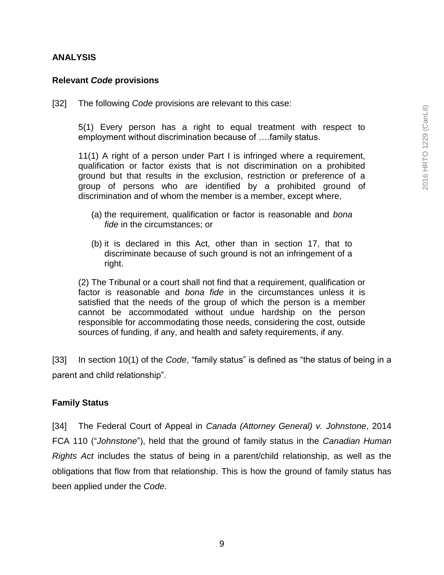#### **ANALYSIS**

#### **Relevant** *Code* **provisions**

[32] The following *Code* provisions are relevant to this case:

5(1) Every person has a right to equal treatment with respect to employment without discrimination because of ….family status.

11(1) A right of a person under Part I is infringed where a requirement, qualification or factor exists that is not discrimination on a prohibited ground but that results in the exclusion, restriction or preference of a group of persons who are identified by a prohibited ground of discrimination and of whom the member is a member, except where,

- (a) the requirement, qualification or factor is reasonable and *bona fide* in the circumstances; or
- (b) it is declared in this Act, other than in section 17, that to discriminate because of such ground is not an infringement of a right.

(2) The Tribunal or a court shall not find that a requirement, qualification or factor is reasonable and *bona fide* in the circumstances unless it is satisfied that the needs of the group of which the person is a member cannot be accommodated without undue hardship on the person responsible for accommodating those needs, considering the cost, outside sources of funding, if any, and health and safety requirements, if any.

[33] In section 10(1) of the *Code*, "family status" is defined as "the status of being in a parent and child relationship".

#### **Family Status**

[34] The Federal Court of Appeal in *Canada (Attorney General) v. Johnstone*, 2014 FCA 110 ("*Johnstone*"), held that the ground of family status in the *Canadian Human Rights Act* includes the status of being in a parent/child relationship, as well as the obligations that flow from that relationship. This is how the ground of family status has been applied under the *Code*.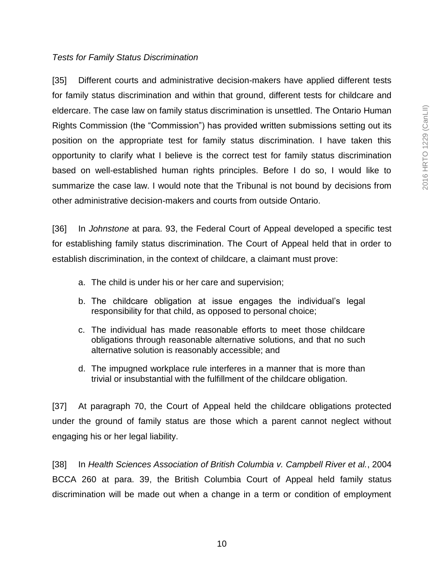#### *Tests for Family Status Discrimination*

[35] Different courts and administrative decision-makers have applied different tests for family status discrimination and within that ground, different tests for childcare and eldercare. The case law on family status discrimination is unsettled. The Ontario Human Rights Commission (the "Commission") has provided written submissions setting out its position on the appropriate test for family status discrimination. I have taken this opportunity to clarify what I believe is the correct test for family status discrimination based on well-established human rights principles. Before I do so, I would like to summarize the case law. I would note that the Tribunal is not bound by decisions from other administrative decision-makers and courts from outside Ontario.

[36] In *Johnstone* at para. 93, the Federal Court of Appeal developed a specific test for establishing family status discrimination. The Court of Appeal held that in order to establish discrimination, in the context of childcare, a claimant must prove:

- a. The child is under his or her care and supervision;
- b. The childcare obligation at issue engages the individual's legal responsibility for that child, as opposed to personal choice;
- c. The individual has made reasonable efforts to meet those childcare obligations through reasonable alternative solutions, and that no such alternative solution is reasonably accessible; and
- d. The impugned workplace rule interferes in a manner that is more than trivial or insubstantial with the fulfillment of the childcare obligation.

[37] At paragraph 70, the Court of Appeal held the childcare obligations protected under the ground of family status are those which a parent cannot neglect without engaging his or her legal liability.

[38] In *Health Sciences Association of British Columbia v. Campbell River et al.*, 2004 BCCA 260 at para. 39, the British Columbia Court of Appeal held family status discrimination will be made out when a change in a term or condition of employment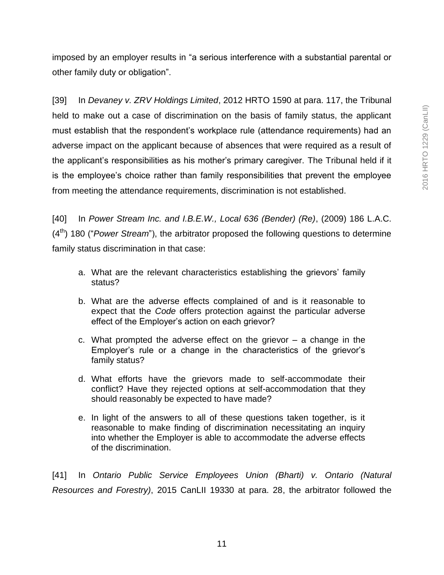imposed by an employer results in "a serious interference with a substantial parental or other family duty or obligation".

[39] In *Devaney v. ZRV Holdings Limited*, 2012 HRTO 1590 at para. 117, the Tribunal held to make out a case of discrimination on the basis of family status, the applicant must establish that the respondent's workplace rule (attendance requirements) had an adverse impact on the applicant because of absences that were required as a result of the applicant's responsibilities as his mother's primary caregiver. The Tribunal held if it is the employee's choice rather than family responsibilities that prevent the employee from meeting the attendance requirements, discrimination is not established.

[40] In *Power Stream Inc. and I.B.E.W., Local 636 (Bender) (Re)*, (2009) 186 L.A.C. (4th) 180 ("*Power Stream*"), the arbitrator proposed the following questions to determine family status discrimination in that case:

- a. What are the relevant characteristics establishing the grievors' family status?
- b. What are the adverse effects complained of and is it reasonable to expect that the *Code* offers protection against the particular adverse effect of the Employer's action on each grievor?
- c. What prompted the adverse effect on the grievor  $-$  a change in the Employer's rule or a change in the characteristics of the grievor's family status?
- d. What efforts have the grievors made to self-accommodate their conflict? Have they rejected options at self-accommodation that they should reasonably be expected to have made?
- e. In light of the answers to all of these questions taken together, is it reasonable to make finding of discrimination necessitating an inquiry into whether the Employer is able to accommodate the adverse effects of the discrimination.

[41] In *Ontario Public Service Employees Union (Bharti) v. Ontario (Natural Resources and Forestry)*, 2015 CanLII 19330 at para. 28, the arbitrator followed the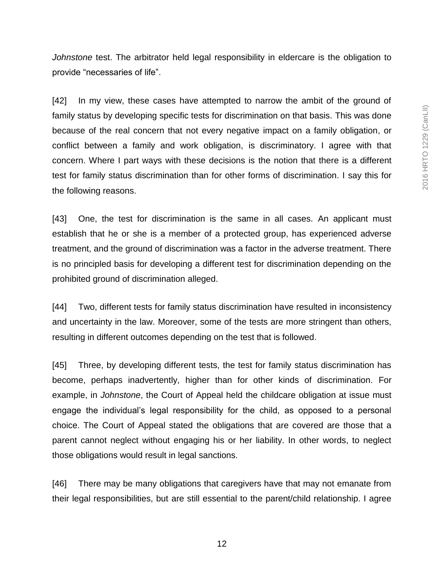*Johnstone* test. The arbitrator held legal responsibility in eldercare is the obligation to provide "necessaries of life".

[42] In my view, these cases have attempted to narrow the ambit of the ground of family status by developing specific tests for discrimination on that basis. This was done because of the real concern that not every negative impact on a family obligation, or conflict between a family and work obligation, is discriminatory. I agree with that concern. Where I part ways with these decisions is the notion that there is a different test for family status discrimination than for other forms of discrimination. I say this for the following reasons.

[43] One, the test for discrimination is the same in all cases. An applicant must establish that he or she is a member of a protected group, has experienced adverse treatment, and the ground of discrimination was a factor in the adverse treatment. There is no principled basis for developing a different test for discrimination depending on the prohibited ground of discrimination alleged.

[44] Two, different tests for family status discrimination have resulted in inconsistency and uncertainty in the law. Moreover, some of the tests are more stringent than others, resulting in different outcomes depending on the test that is followed.

[45] Three, by developing different tests, the test for family status discrimination has become, perhaps inadvertently, higher than for other kinds of discrimination. For example, in *Johnstone*, the Court of Appeal held the childcare obligation at issue must engage the individual's legal responsibility for the child, as opposed to a personal choice. The Court of Appeal stated the obligations that are covered are those that a parent cannot neglect without engaging his or her liability. In other words, to neglect those obligations would result in legal sanctions.

[46] There may be many obligations that caregivers have that may not emanate from their legal responsibilities, but are still essential to the parent/child relationship. I agree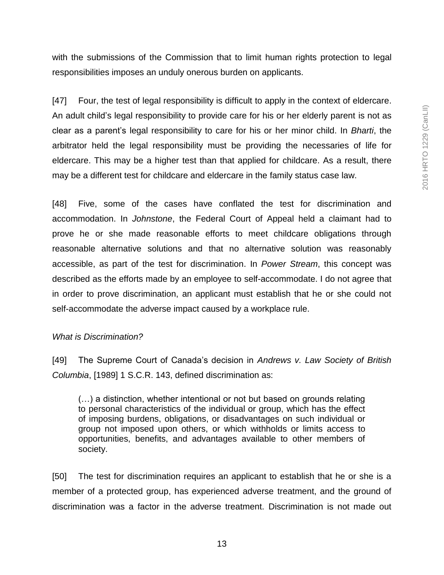with the submissions of the Commission that to limit human rights protection to legal responsibilities imposes an unduly onerous burden on applicants.

[47] Four, the test of legal responsibility is difficult to apply in the context of eldercare. An adult child's legal responsibility to provide care for his or her elderly parent is not as clear as a parent's legal responsibility to care for his or her minor child. In *Bharti*, the arbitrator held the legal responsibility must be providing the necessaries of life for eldercare. This may be a higher test than that applied for childcare. As a result, there may be a different test for childcare and eldercare in the family status case law.

[48] Five, some of the cases have conflated the test for discrimination and accommodation. In *Johnstone*, the Federal Court of Appeal held a claimant had to prove he or she made reasonable efforts to meet childcare obligations through reasonable alternative solutions and that no alternative solution was reasonably accessible, as part of the test for discrimination. In *Power Stream*, this concept was described as the efforts made by an employee to self-accommodate. I do not agree that in order to prove discrimination, an applicant must establish that he or she could not self-accommodate the adverse impact caused by a workplace rule.

#### *What is Discrimination?*

[49] The Supreme Court of Canada's decision in *Andrews v. Law Society of British Columbia*, [1989] 1 S.C.R. 143, defined discrimination as:

(…) a distinction, whether intentional or not but based on grounds relating to personal characteristics of the individual or group, which has the effect of imposing burdens, obligations, or disadvantages on such individual or group not imposed upon others, or which withholds or limits access to opportunities, benefits, and advantages available to other members of society.

[50] The test for discrimination requires an applicant to establish that he or she is a member of a protected group, has experienced adverse treatment, and the ground of discrimination was a factor in the adverse treatment. Discrimination is not made out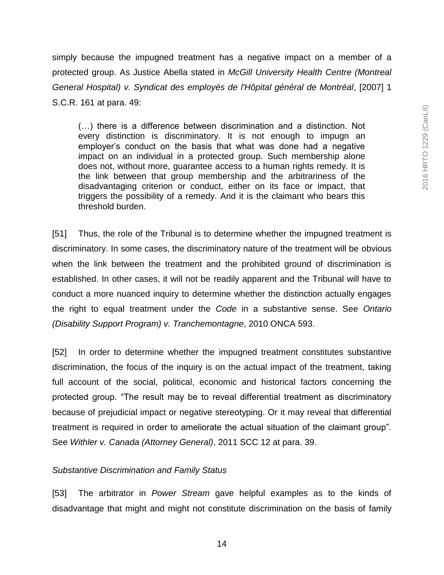simply because the impugned treatment has a negative impact on a member of a protected group. As Justice Abella stated in *McGill University Health Centre (Montreal General Hospital) v. Syndicat des employés de l'Hôpital général de Montréal*, [2007] 1 S.C.R. 161 at para. 49:

(…) there is a difference between discrimination and a distinction. Not every distinction is discriminatory. It is not enough to impugn an employer's conduct on the basis that what was done had a negative impact on an individual in a protected group. Such membership alone does not, without more, guarantee access to a human rights remedy. It is the link between that group membership and the arbitrariness of the disadvantaging criterion or conduct, either on its face or impact, that triggers the possibility of a remedy. And it is the claimant who bears this threshold burden.

[51] Thus, the role of the Tribunal is to determine whether the impugned treatment is discriminatory. In some cases, the discriminatory nature of the treatment will be obvious when the link between the treatment and the prohibited ground of discrimination is established. In other cases, it will not be readily apparent and the Tribunal will have to conduct a more nuanced inquiry to determine whether the distinction actually engages the right to equal treatment under the *Code* in a substantive sense. See *Ontario (Disability Support Program) v. Tranchemontagne*, 2010 ONCA 593.

[52] In order to determine whether the impugned treatment constitutes substantive discrimination, the focus of the inquiry is on the actual impact of the treatment, taking full account of the social, political, economic and historical factors concerning the protected group. "The result may be to reveal differential treatment as discriminatory because of prejudicial impact or negative stereotyping. Or it may reveal that differential treatment is required in order to ameliorate the actual situation of the claimant group". See *Withler v. Canada (Attorney General)*, 2011 SCC 12 at para. 39.

#### *Substantive Discrimination and Family Status*

[53] The arbitrator in *Power Stream* gave helpful examples as to the kinds of disadvantage that might and might not constitute discrimination on the basis of family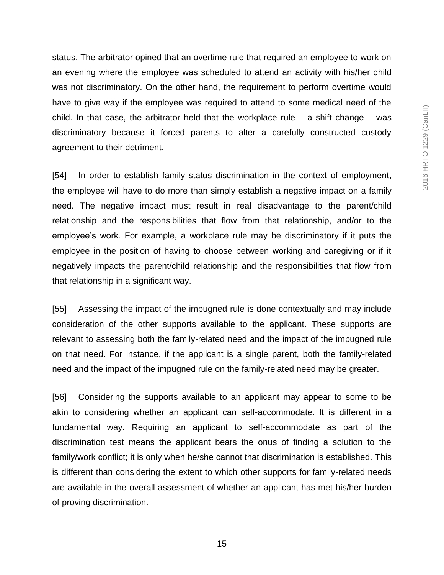status. The arbitrator opined that an overtime rule that required an employee to work on an evening where the employee was scheduled to attend an activity with his/her child was not discriminatory. On the other hand, the requirement to perform overtime would have to give way if the employee was required to attend to some medical need of the child. In that case, the arbitrator held that the workplace rule  $-$  a shift change  $-$  was discriminatory because it forced parents to alter a carefully constructed custody agreement to their detriment.

[54] In order to establish family status discrimination in the context of employment, the employee will have to do more than simply establish a negative impact on a family need. The negative impact must result in real disadvantage to the parent/child relationship and the responsibilities that flow from that relationship, and/or to the employee's work. For example, a workplace rule may be discriminatory if it puts the employee in the position of having to choose between working and caregiving or if it negatively impacts the parent/child relationship and the responsibilities that flow from that relationship in a significant way.

[55] Assessing the impact of the impugned rule is done contextually and may include consideration of the other supports available to the applicant. These supports are relevant to assessing both the family-related need and the impact of the impugned rule on that need. For instance, if the applicant is a single parent, both the family-related need and the impact of the impugned rule on the family-related need may be greater.

[56] Considering the supports available to an applicant may appear to some to be akin to considering whether an applicant can self-accommodate. It is different in a fundamental way. Requiring an applicant to self-accommodate as part of the discrimination test means the applicant bears the onus of finding a solution to the family/work conflict; it is only when he/she cannot that discrimination is established. This is different than considering the extent to which other supports for family-related needs are available in the overall assessment of whether an applicant has met his/her burden of proving discrimination.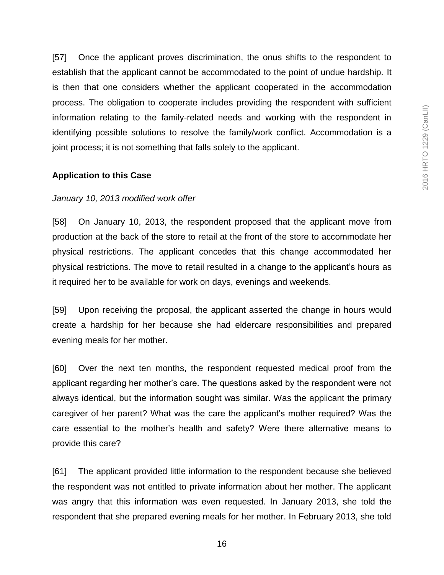[57] Once the applicant proves discrimination, the onus shifts to the respondent to establish that the applicant cannot be accommodated to the point of undue hardship. It is then that one considers whether the applicant cooperated in the accommodation process. The obligation to cooperate includes providing the respondent with sufficient information relating to the family-related needs and working with the respondent in identifying possible solutions to resolve the family/work conflict. Accommodation is a joint process; it is not something that falls solely to the applicant.

#### **Application to this Case**

#### *January 10, 2013 modified work offer*

[58] On January 10, 2013, the respondent proposed that the applicant move from production at the back of the store to retail at the front of the store to accommodate her physical restrictions. The applicant concedes that this change accommodated her physical restrictions. The move to retail resulted in a change to the applicant's hours as it required her to be available for work on days, evenings and weekends.

[59] Upon receiving the proposal, the applicant asserted the change in hours would create a hardship for her because she had eldercare responsibilities and prepared evening meals for her mother.

[60] Over the next ten months, the respondent requested medical proof from the applicant regarding her mother's care. The questions asked by the respondent were not always identical, but the information sought was similar. Was the applicant the primary caregiver of her parent? What was the care the applicant's mother required? Was the care essential to the mother's health and safety? Were there alternative means to provide this care?

[61] The applicant provided little information to the respondent because she believed the respondent was not entitled to private information about her mother. The applicant was angry that this information was even requested. In January 2013, she told the respondent that she prepared evening meals for her mother. In February 2013, she told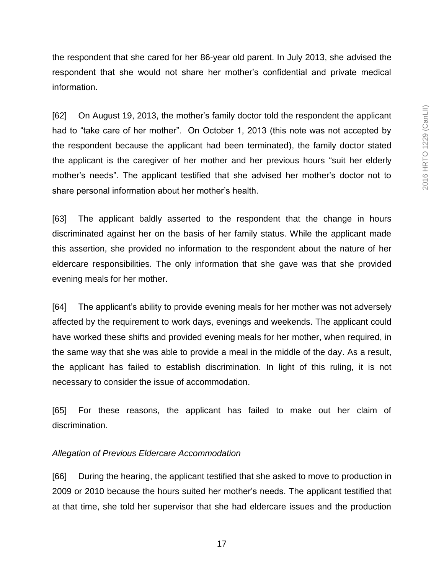the respondent that she cared for her 86-year old parent. In July 2013, she advised the respondent that she would not share her mother's confidential and private medical information.

[62] On August 19, 2013, the mother's family doctor told the respondent the applicant had to "take care of her mother". On October 1, 2013 (this note was not accepted by the respondent because the applicant had been terminated), the family doctor stated the applicant is the caregiver of her mother and her previous hours "suit her elderly mother's needs". The applicant testified that she advised her mother's doctor not to share personal information about her mother's health.

[63] The applicant baldly asserted to the respondent that the change in hours discriminated against her on the basis of her family status. While the applicant made this assertion, she provided no information to the respondent about the nature of her eldercare responsibilities. The only information that she gave was that she provided evening meals for her mother.

[64] The applicant's ability to provide evening meals for her mother was not adversely affected by the requirement to work days, evenings and weekends. The applicant could have worked these shifts and provided evening meals for her mother, when required, in the same way that she was able to provide a meal in the middle of the day. As a result, the applicant has failed to establish discrimination. In light of this ruling, it is not necessary to consider the issue of accommodation.

[65] For these reasons, the applicant has failed to make out her claim of discrimination.

#### *Allegation of Previous Eldercare Accommodation*

[66] During the hearing, the applicant testified that she asked to move to production in 2009 or 2010 because the hours suited her mother's needs. The applicant testified that at that time, she told her supervisor that she had eldercare issues and the production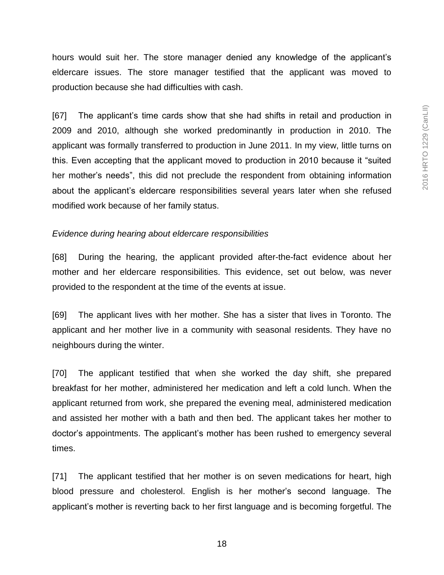hours would suit her. The store manager denied any knowledge of the applicant's eldercare issues. The store manager testified that the applicant was moved to production because she had difficulties with cash.

[67] The applicant's time cards show that she had shifts in retail and production in 2009 and 2010, although she worked predominantly in production in 2010. The applicant was formally transferred to production in June 2011. In my view, little turns on this. Even accepting that the applicant moved to production in 2010 because it "suited her mother's needs", this did not preclude the respondent from obtaining information about the applicant's eldercare responsibilities several years later when she refused modified work because of her family status.

#### *Evidence during hearing about eldercare responsibilities*

[68] During the hearing, the applicant provided after-the-fact evidence about her mother and her eldercare responsibilities. This evidence, set out below, was never provided to the respondent at the time of the events at issue.

[69] The applicant lives with her mother. She has a sister that lives in Toronto. The applicant and her mother live in a community with seasonal residents. They have no neighbours during the winter.

[70] The applicant testified that when she worked the day shift, she prepared breakfast for her mother, administered her medication and left a cold lunch. When the applicant returned from work, she prepared the evening meal, administered medication and assisted her mother with a bath and then bed. The applicant takes her mother to doctor's appointments. The applicant's mother has been rushed to emergency several times.

[71] The applicant testified that her mother is on seven medications for heart, high blood pressure and cholesterol. English is her mother's second language. The applicant's mother is reverting back to her first language and is becoming forgetful. The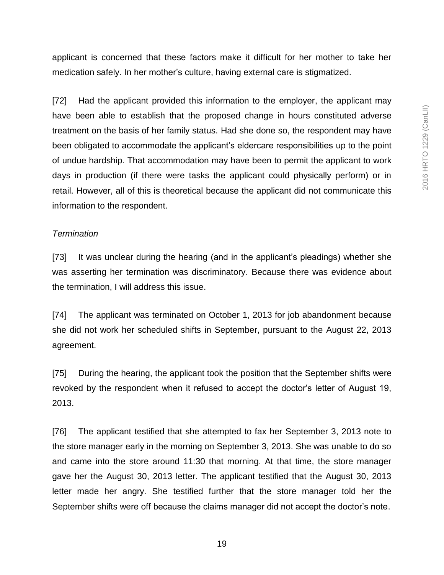applicant is concerned that these factors make it difficult for her mother to take her medication safely. In her mother's culture, having external care is stigmatized.

[72] Had the applicant provided this information to the employer, the applicant may have been able to establish that the proposed change in hours constituted adverse treatment on the basis of her family status. Had she done so, the respondent may have been obligated to accommodate the applicant's eldercare responsibilities up to the point of undue hardship. That accommodation may have been to permit the applicant to work days in production (if there were tasks the applicant could physically perform) or in retail. However, all of this is theoretical because the applicant did not communicate this information to the respondent.

#### *Termination*

[73] It was unclear during the hearing (and in the applicant's pleadings) whether she was asserting her termination was discriminatory. Because there was evidence about the termination, I will address this issue.

[74] The applicant was terminated on October 1, 2013 for job abandonment because she did not work her scheduled shifts in September, pursuant to the August 22, 2013 agreement.

[75] During the hearing, the applicant took the position that the September shifts were revoked by the respondent when it refused to accept the doctor's letter of August 19, 2013.

[76] The applicant testified that she attempted to fax her September 3, 2013 note to the store manager early in the morning on September 3, 2013. She was unable to do so and came into the store around 11:30 that morning. At that time, the store manager gave her the August 30, 2013 letter. The applicant testified that the August 30, 2013 letter made her angry. She testified further that the store manager told her the September shifts were off because the claims manager did not accept the doctor's note.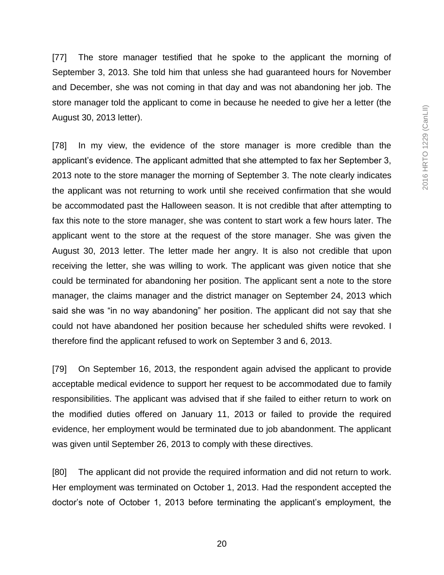[77] The store manager testified that he spoke to the applicant the morning of September 3, 2013. She told him that unless she had guaranteed hours for November and December, she was not coming in that day and was not abandoning her job. The store manager told the applicant to come in because he needed to give her a letter (the August 30, 2013 letter).

[78] In my view, the evidence of the store manager is more credible than the applicant's evidence. The applicant admitted that she attempted to fax her September 3, 2013 note to the store manager the morning of September 3. The note clearly indicates the applicant was not returning to work until she received confirmation that she would be accommodated past the Halloween season. It is not credible that after attempting to fax this note to the store manager, she was content to start work a few hours later. The applicant went to the store at the request of the store manager. She was given the August 30, 2013 letter. The letter made her angry. It is also not credible that upon receiving the letter, she was willing to work. The applicant was given notice that she could be terminated for abandoning her position. The applicant sent a note to the store manager, the claims manager and the district manager on September 24, 2013 which said she was "in no way abandoning" her position. The applicant did not say that she could not have abandoned her position because her scheduled shifts were revoked. I therefore find the applicant refused to work on September 3 and 6, 2013.

[79] On September 16, 2013, the respondent again advised the applicant to provide acceptable medical evidence to support her request to be accommodated due to family responsibilities. The applicant was advised that if she failed to either return to work on the modified duties offered on January 11, 2013 or failed to provide the required evidence, her employment would be terminated due to job abandonment. The applicant was given until September 26, 2013 to comply with these directives.

[80] The applicant did not provide the required information and did not return to work. Her employment was terminated on October 1, 2013. Had the respondent accepted the doctor's note of October 1, 2013 before terminating the applicant's employment, the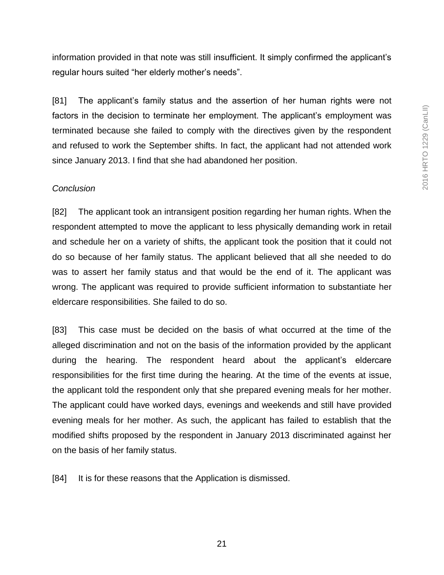information provided in that note was still insufficient. It simply confirmed the applicant's regular hours suited "her elderly mother's needs".

[81] The applicant's family status and the assertion of her human rights were not factors in the decision to terminate her employment. The applicant's employment was terminated because she failed to comply with the directives given by the respondent and refused to work the September shifts. In fact, the applicant had not attended work since January 2013. I find that she had abandoned her position.

#### *Conclusion*

[82] The applicant took an intransigent position regarding her human rights. When the respondent attempted to move the applicant to less physically demanding work in retail and schedule her on a variety of shifts, the applicant took the position that it could not do so because of her family status. The applicant believed that all she needed to do was to assert her family status and that would be the end of it. The applicant was wrong. The applicant was required to provide sufficient information to substantiate her eldercare responsibilities. She failed to do so.

[83] This case must be decided on the basis of what occurred at the time of the alleged discrimination and not on the basis of the information provided by the applicant during the hearing. The respondent heard about the applicant's eldercare responsibilities for the first time during the hearing. At the time of the events at issue, the applicant told the respondent only that she prepared evening meals for her mother. The applicant could have worked days, evenings and weekends and still have provided evening meals for her mother. As such, the applicant has failed to establish that the modified shifts proposed by the respondent in January 2013 discriminated against her on the basis of her family status.

[84] It is for these reasons that the Application is dismissed.